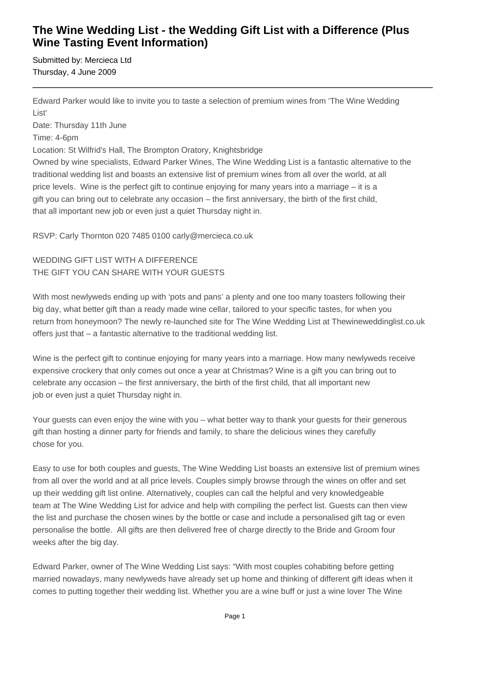# **The Wine Wedding List - the Wedding Gift List with a Difference (Plus Wine Tasting Event Information)**

Submitted by: Mercieca Ltd Thursday, 4 June 2009

Edward Parker would like to invite you to taste a selection of premium wines from 'The Wine Wedding List'

Date: Thursday 11th June

Time: 4-6pm

Location: St Wilfrid's Hall, The Brompton Oratory, Knightsbridge

Owned by wine specialists, Edward Parker Wines, The Wine Wedding List is a fantastic alternative to the traditional wedding list and boasts an extensive list of premium wines from all over the world, at all price levels. Wine is the perfect gift to continue enjoying for many years into a marriage – it is a gift you can bring out to celebrate any occasion – the first anniversary, the birth of the first child, that all important new job or even just a quiet Thursday night in.

RSVP: Carly Thornton 020 7485 0100 carly@mercieca.co.uk

## WEDDING GIFT LIST WITH A DIFFERENCE THE GIFT YOU CAN SHARE WITH YOUR GUESTS

With most newlyweds ending up with 'pots and pans' a plenty and one too many toasters following their big day, what better gift than a ready made wine cellar, tailored to your specific tastes, for when you return from honeymoon? The newly re-launched site for The Wine Wedding List at Thewineweddinglist.co.uk offers just that – a fantastic alternative to the traditional wedding list.

Wine is the perfect gift to continue enjoying for many years into a marriage. How many newlyweds receive expensive crockery that only comes out once a year at Christmas? Wine is a gift you can bring out to celebrate any occasion – the first anniversary, the birth of the first child, that all important new job or even just a quiet Thursday night in.

Your guests can even enjoy the wine with you – what better way to thank your guests for their generous gift than hosting a dinner party for friends and family, to share the delicious wines they carefully chose for you.

Easy to use for both couples and guests, The Wine Wedding List boasts an extensive list of premium wines from all over the world and at all price levels. Couples simply browse through the wines on offer and set up their wedding gift list online. Alternatively, couples can call the helpful and very knowledgeable team at The Wine Wedding List for advice and help with compiling the perfect list. Guests can then view the list and purchase the chosen wines by the bottle or case and include a personalised gift tag or even personalise the bottle. All gifts are then delivered free of charge directly to the Bride and Groom four weeks after the big day.

Edward Parker, owner of The Wine Wedding List says: "With most couples cohabiting before getting married nowadays, many newlyweds have already set up home and thinking of different gift ideas when it comes to putting together their wedding list. Whether you are a wine buff or just a wine lover The Wine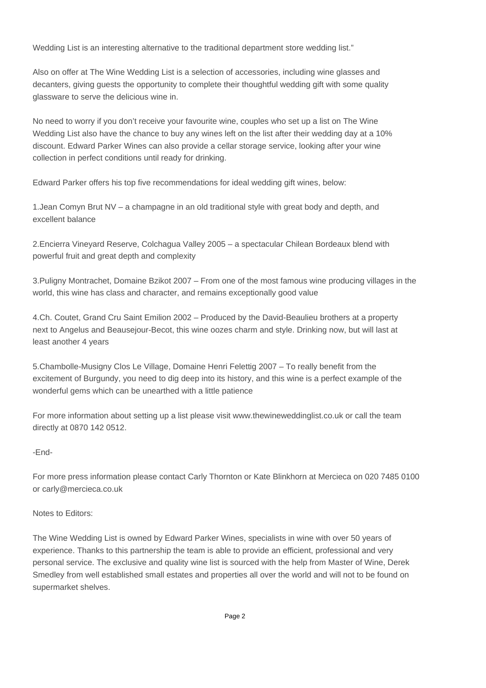Wedding List is an interesting alternative to the traditional department store wedding list."

Also on offer at The Wine Wedding List is a selection of accessories, including wine glasses and decanters, giving guests the opportunity to complete their thoughtful wedding gift with some quality glassware to serve the delicious wine in.

No need to worry if you don't receive your favourite wine, couples who set up a list on The Wine Wedding List also have the chance to buy any wines left on the list after their wedding day at a 10% discount. Edward Parker Wines can also provide a cellar storage service, looking after your wine collection in perfect conditions until ready for drinking.

Edward Parker offers his top five recommendations for ideal wedding gift wines, below:

1. Jean Comyn Brut NV – a champagne in an old traditional style with great body and depth, and excellent balance

2. Encierra Vineyard Reserve, Colchagua Valley 2005 – a spectacular Chilean Bordeaux blend with powerful fruit and great depth and complexity

3. Puligny Montrachet, Domaine Bzikot 2007 – From one of the most famous wine producing villages in the world, this wine has class and character, and remains exceptionally good value

4. Ch. Coutet, Grand Cru Saint Emilion 2002 – Produced by the David-Beaulieu brothers at a property next to Angelus and Beausejour-Becot, this wine oozes charm and style. Drinking now, but will last at least another 4 years

5. Chambolle-Musigny Clos Le Village, Domaine Henri Felettig 2007 – To really benefit from the excitement of Burgundy, you need to dig deep into its history, and this wine is a perfect example of the wonderful gems which can be unearthed with a little patience

For more information about setting up a list please visit www.thewineweddinglist.co.uk or call the team directly at 0870 142 0512.

### -End-

For more press information please contact Carly Thornton or Kate Blinkhorn at Mercieca on 020 7485 0100 or carly@mercieca.co.uk

#### Notes to Editors:

The Wine Wedding List is owned by Edward Parker Wines, specialists in wine with over 50 years of experience. Thanks to this partnership the team is able to provide an efficient, professional and very personal service. The exclusive and quality wine list is sourced with the help from Master of Wine, Derek Smedley from well established small estates and properties all over the world and will not to be found on supermarket shelves.